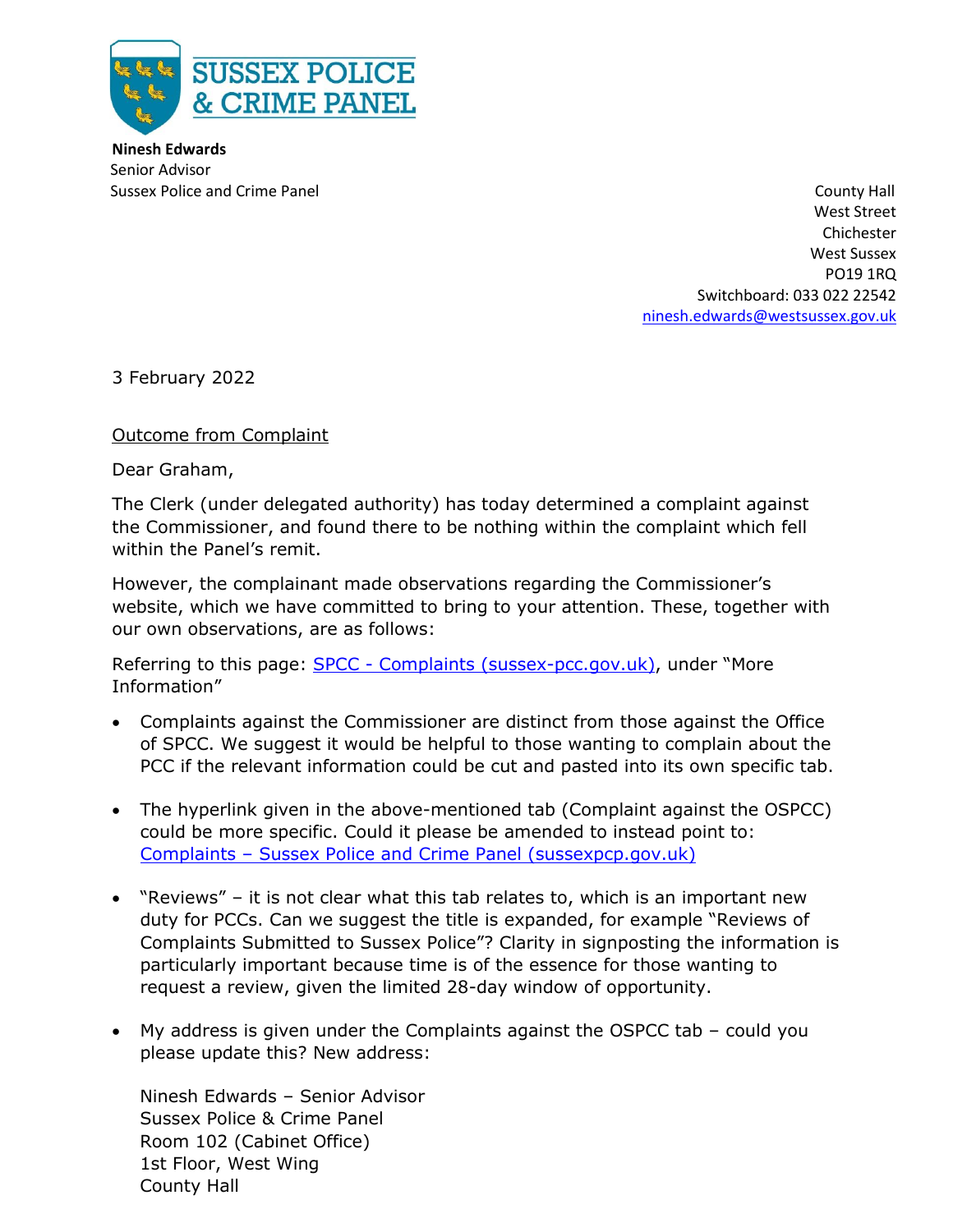

**Ninesh Edwards** Senior Advisor

Sussex Police and Crime Panel County Hall County Hall County Hall County Hall County Hall County Hall County Hall West Street Chichester West Sussex PO19 1RQ Switchboard: 033 022 22542 [ninesh.edwards@westsussex.gov.uk](mailto:ninesh.edwards@westsussex.gov.uk)

3 February 2022

Outcome from Complaint

Dear Graham,

The Clerk (under delegated authority) has today determined a complaint against the Commissioner, and found there to be nothing within the complaint which fell within the Panel's remit.

However, the complainant made observations regarding the Commissioner's website, which we have committed to bring to your attention. These, together with our own observations, are as follows:

Referring to this page: SPCC - [Complaints \(sussex-pcc.gov.uk\),](https://www.sussex-pcc.gov.uk/contact/complaints/) under "More Information"

- Complaints against the Commissioner are distinct from those against the Office of SPCC. We suggest it would be helpful to those wanting to complain about the PCC if the relevant information could be cut and pasted into its own specific tab.
- The hyperlink given in the above-mentioned tab (Complaint against the OSPCC) could be more specific. Could it please be amended to instead point to: Complaints – [Sussex Police and Crime Panel \(sussexpcp.gov.uk\)](https://sussexpcp.gov.uk/contact/complaints/)
- "Reviews" it is not clear what this tab relates to, which is an important new duty for PCCs. Can we suggest the title is expanded, for example "Reviews of Complaints Submitted to Sussex Police"? Clarity in signposting the information is particularly important because time is of the essence for those wanting to request a review, given the limited 28-day window of opportunity.
- My address is given under the Complaints against the OSPCC tab could you please update this? New address:

Ninesh Edwards – Senior Advisor Sussex Police & Crime Panel Room 102 (Cabinet Office) 1st Floor, West Wing County Hall